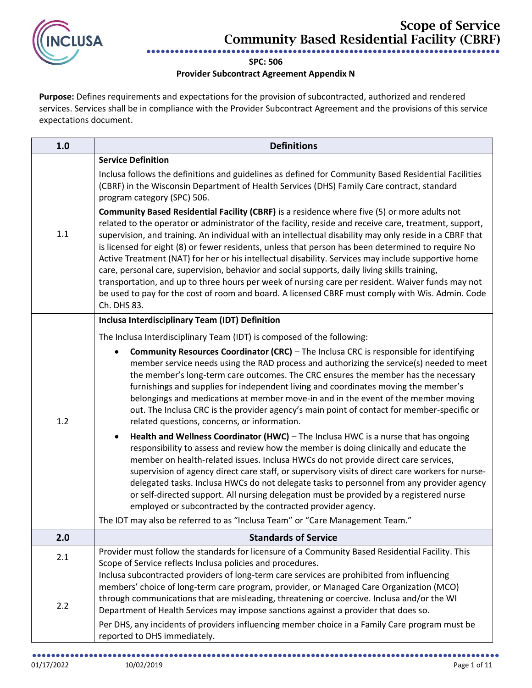

**SPC: 506**

## **Provider Subcontract Agreement Appendix N**

**Purpose:** Defines requirements and expectations for the provision of subcontracted, authorized and rendered services. Services shall be in compliance with the Provider Subcontract Agreement and the provisions of this service expectations document.

| 1.0 | <b>Definitions</b>                                                                                                                                                                                                                                                                                                                                                                                                                                                                                                                                                                                                                                                                                                                                                                                                                                                                                                                                                                                                                                                                                                                                                                                                                                                                                                                                                                                                                                                                   |
|-----|--------------------------------------------------------------------------------------------------------------------------------------------------------------------------------------------------------------------------------------------------------------------------------------------------------------------------------------------------------------------------------------------------------------------------------------------------------------------------------------------------------------------------------------------------------------------------------------------------------------------------------------------------------------------------------------------------------------------------------------------------------------------------------------------------------------------------------------------------------------------------------------------------------------------------------------------------------------------------------------------------------------------------------------------------------------------------------------------------------------------------------------------------------------------------------------------------------------------------------------------------------------------------------------------------------------------------------------------------------------------------------------------------------------------------------------------------------------------------------------|
| 1.1 | <b>Service Definition</b><br>Inclusa follows the definitions and guidelines as defined for Community Based Residential Facilities<br>(CBRF) in the Wisconsin Department of Health Services (DHS) Family Care contract, standard<br>program category (SPC) 506.<br><b>Community Based Residential Facility (CBRF)</b> is a residence where five (5) or more adults not<br>related to the operator or administrator of the facility, reside and receive care, treatment, support,<br>supervision, and training. An individual with an intellectual disability may only reside in a CBRF that<br>is licensed for eight (8) or fewer residents, unless that person has been determined to require No<br>Active Treatment (NAT) for her or his intellectual disability. Services may include supportive home<br>care, personal care, supervision, behavior and social supports, daily living skills training,<br>transportation, and up to three hours per week of nursing care per resident. Waiver funds may not<br>be used to pay for the cost of room and board. A licensed CBRF must comply with Wis. Admin. Code<br>Ch. DHS 83.                                                                                                                                                                                                                                                                                                                                                     |
| 1.2 | Inclusa Interdisciplinary Team (IDT) Definition<br>The Inclusa Interdisciplinary Team (IDT) is composed of the following:<br><b>Community Resources Coordinator (CRC)</b> – The Inclusa CRC is responsible for identifying<br>$\bullet$<br>member service needs using the RAD process and authorizing the service(s) needed to meet<br>the member's long-term care outcomes. The CRC ensures the member has the necessary<br>furnishings and supplies for independent living and coordinates moving the member's<br>belongings and medications at member move-in and in the event of the member moving<br>out. The Inclusa CRC is the provider agency's main point of contact for member-specific or<br>related questions, concerns, or information.<br>Health and Wellness Coordinator (HWC) - The Inclusa HWC is a nurse that has ongoing<br>$\bullet$<br>responsibility to assess and review how the member is doing clinically and educate the<br>member on health-related issues. Inclusa HWCs do not provide direct care services,<br>supervision of agency direct care staff, or supervisory visits of direct care workers for nurse-<br>delegated tasks. Inclusa HWCs do not delegate tasks to personnel from any provider agency<br>or self-directed support. All nursing delegation must be provided by a registered nurse<br>employed or subcontracted by the contracted provider agency.<br>The IDT may also be referred to as "Inclusa Team" or "Care Management Team." |
| 2.0 | <b>Standards of Service</b>                                                                                                                                                                                                                                                                                                                                                                                                                                                                                                                                                                                                                                                                                                                                                                                                                                                                                                                                                                                                                                                                                                                                                                                                                                                                                                                                                                                                                                                          |
| 2.1 | Provider must follow the standards for licensure of a Community Based Residential Facility. This<br>Scope of Service reflects Inclusa policies and procedures.                                                                                                                                                                                                                                                                                                                                                                                                                                                                                                                                                                                                                                                                                                                                                                                                                                                                                                                                                                                                                                                                                                                                                                                                                                                                                                                       |
| 2.2 | Inclusa subcontracted providers of long-term care services are prohibited from influencing<br>members' choice of long-term care program, provider, or Managed Care Organization (MCO)<br>through communications that are misleading, threatening or coercive. Inclusa and/or the WI<br>Department of Health Services may impose sanctions against a provider that does so.<br>Per DHS, any incidents of providers influencing member choice in a Family Care program must be<br>reported to DHS immediately.                                                                                                                                                                                                                                                                                                                                                                                                                                                                                                                                                                                                                                                                                                                                                                                                                                                                                                                                                                         |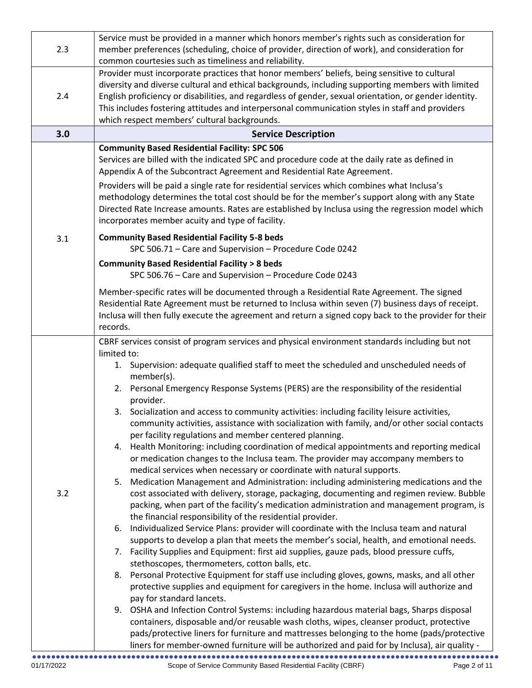| 2.3 | Service must be provided in a manner which honors member's rights such as consideration for<br>member preferences (scheduling, choice of provider, direction of work), and consideration for<br>common courtesies such as timeliness and reliability.                                                                                                                                                                                                                                                                                                                                                                                                                                                                                                                                                                                                                                                                                                                                                                                                                                                                                                                                                                                                                                                                                                                                                                                                                                                                                                                                                                                                                                                                                                                                                                                                                                                                                                                                                                                                                   |
|-----|-------------------------------------------------------------------------------------------------------------------------------------------------------------------------------------------------------------------------------------------------------------------------------------------------------------------------------------------------------------------------------------------------------------------------------------------------------------------------------------------------------------------------------------------------------------------------------------------------------------------------------------------------------------------------------------------------------------------------------------------------------------------------------------------------------------------------------------------------------------------------------------------------------------------------------------------------------------------------------------------------------------------------------------------------------------------------------------------------------------------------------------------------------------------------------------------------------------------------------------------------------------------------------------------------------------------------------------------------------------------------------------------------------------------------------------------------------------------------------------------------------------------------------------------------------------------------------------------------------------------------------------------------------------------------------------------------------------------------------------------------------------------------------------------------------------------------------------------------------------------------------------------------------------------------------------------------------------------------------------------------------------------------------------------------------------------------|
| 2.4 | Provider must incorporate practices that honor members' beliefs, being sensitive to cultural<br>diversity and diverse cultural and ethical backgrounds, including supporting members with limited<br>English proficiency or disabilities, and regardless of gender, sexual orientation, or gender identity.<br>This includes fostering attitudes and interpersonal communication styles in staff and providers<br>which respect members' cultural backgrounds.                                                                                                                                                                                                                                                                                                                                                                                                                                                                                                                                                                                                                                                                                                                                                                                                                                                                                                                                                                                                                                                                                                                                                                                                                                                                                                                                                                                                                                                                                                                                                                                                          |
| 3.0 | <b>Service Description</b>                                                                                                                                                                                                                                                                                                                                                                                                                                                                                                                                                                                                                                                                                                                                                                                                                                                                                                                                                                                                                                                                                                                                                                                                                                                                                                                                                                                                                                                                                                                                                                                                                                                                                                                                                                                                                                                                                                                                                                                                                                              |
|     | <b>Community Based Residential Facility: SPC 506</b><br>Services are billed with the indicated SPC and procedure code at the daily rate as defined in<br>Appendix A of the Subcontract Agreement and Residential Rate Agreement.<br>Providers will be paid a single rate for residential services which combines what Inclusa's<br>methodology determines the total cost should be for the member's support along with any State<br>Directed Rate Increase amounts. Rates are established by Inclusa using the regression model which<br>incorporates member acuity and type of facility.                                                                                                                                                                                                                                                                                                                                                                                                                                                                                                                                                                                                                                                                                                                                                                                                                                                                                                                                                                                                                                                                                                                                                                                                                                                                                                                                                                                                                                                                               |
| 3.1 | <b>Community Based Residential Facility 5-8 beds</b>                                                                                                                                                                                                                                                                                                                                                                                                                                                                                                                                                                                                                                                                                                                                                                                                                                                                                                                                                                                                                                                                                                                                                                                                                                                                                                                                                                                                                                                                                                                                                                                                                                                                                                                                                                                                                                                                                                                                                                                                                    |
|     | SPC 506.71 - Care and Supervision - Procedure Code 0242                                                                                                                                                                                                                                                                                                                                                                                                                                                                                                                                                                                                                                                                                                                                                                                                                                                                                                                                                                                                                                                                                                                                                                                                                                                                                                                                                                                                                                                                                                                                                                                                                                                                                                                                                                                                                                                                                                                                                                                                                 |
|     | <b>Community Based Residential Facility &gt; 8 beds</b>                                                                                                                                                                                                                                                                                                                                                                                                                                                                                                                                                                                                                                                                                                                                                                                                                                                                                                                                                                                                                                                                                                                                                                                                                                                                                                                                                                                                                                                                                                                                                                                                                                                                                                                                                                                                                                                                                                                                                                                                                 |
|     | SPC 506.76 - Care and Supervision - Procedure Code 0243                                                                                                                                                                                                                                                                                                                                                                                                                                                                                                                                                                                                                                                                                                                                                                                                                                                                                                                                                                                                                                                                                                                                                                                                                                                                                                                                                                                                                                                                                                                                                                                                                                                                                                                                                                                                                                                                                                                                                                                                                 |
|     | Member-specific rates will be documented through a Residential Rate Agreement. The signed<br>Residential Rate Agreement must be returned to Inclusa within seven (7) business days of receipt.<br>Inclusa will then fully execute the agreement and return a signed copy back to the provider for their<br>records.                                                                                                                                                                                                                                                                                                                                                                                                                                                                                                                                                                                                                                                                                                                                                                                                                                                                                                                                                                                                                                                                                                                                                                                                                                                                                                                                                                                                                                                                                                                                                                                                                                                                                                                                                     |
|     | CBRF services consist of program services and physical environment standards including but not                                                                                                                                                                                                                                                                                                                                                                                                                                                                                                                                                                                                                                                                                                                                                                                                                                                                                                                                                                                                                                                                                                                                                                                                                                                                                                                                                                                                                                                                                                                                                                                                                                                                                                                                                                                                                                                                                                                                                                          |
| 3.2 | limited to:<br>1. Supervision: adequate qualified staff to meet the scheduled and unscheduled needs of<br>member(s).<br>2. Personal Emergency Response Systems (PERS) are the responsibility of the residential<br>provider.<br>3. Socialization and access to community activities: including facility leisure activities,<br>community activities, assistance with socialization with family, and/or other social contacts<br>per facility regulations and member centered planning.<br>4. Health Monitoring: including coordination of medical appointments and reporting medical<br>or medication changes to the Inclusa team. The provider may accompany members to<br>medical services when necessary or coordinate with natural supports.<br>Medication Management and Administration: including administering medications and the<br>5.<br>cost associated with delivery, storage, packaging, documenting and regimen review. Bubble<br>packing, when part of the facility's medication administration and management program, is<br>the financial responsibility of the residential provider.<br>Individualized Service Plans: provider will coordinate with the Inclusa team and natural<br>6.<br>supports to develop a plan that meets the member's social, health, and emotional needs.<br>Facility Supplies and Equipment: first aid supplies, gauze pads, blood pressure cuffs,<br>7.<br>stethoscopes, thermometers, cotton balls, etc.<br>Personal Protective Equipment for staff use including gloves, gowns, masks, and all other<br>8.<br>protective supplies and equipment for caregivers in the home. Inclusa will authorize and<br>pay for standard lancets.<br>9. OSHA and Infection Control Systems: including hazardous material bags, Sharps disposal<br>containers, disposable and/or reusable wash cloths, wipes, cleanser product, protective<br>pads/protective liners for furniture and mattresses belonging to the home (pads/protective<br>liners for member-owned furniture will be authorized and paid for by Inclusa), air quality - |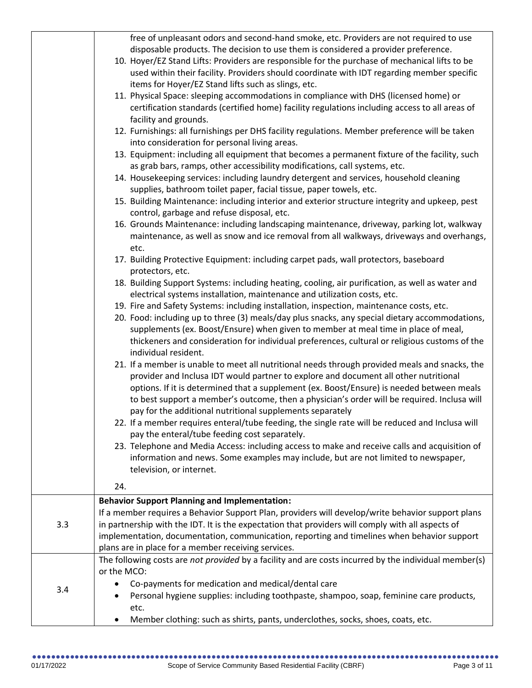|     | free of unpleasant odors and second-hand smoke, etc. Providers are not required to use                                                                               |
|-----|----------------------------------------------------------------------------------------------------------------------------------------------------------------------|
|     | disposable products. The decision to use them is considered a provider preference.                                                                                   |
|     | 10. Hoyer/EZ Stand Lifts: Providers are responsible for the purchase of mechanical lifts to be                                                                       |
|     | used within their facility. Providers should coordinate with IDT regarding member specific                                                                           |
|     | items for Hoyer/EZ Stand lifts such as slings, etc.                                                                                                                  |
|     | 11. Physical Space: sleeping accommodations in compliance with DHS (licensed home) or                                                                                |
|     | certification standards (certified home) facility regulations including access to all areas of                                                                       |
|     | facility and grounds.                                                                                                                                                |
|     | 12. Furnishings: all furnishings per DHS facility regulations. Member preference will be taken                                                                       |
|     | into consideration for personal living areas.                                                                                                                        |
|     | 13. Equipment: including all equipment that becomes a permanent fixture of the facility, such                                                                        |
|     | as grab bars, ramps, other accessibility modifications, call systems, etc.                                                                                           |
|     | 14. Housekeeping services: including laundry detergent and services, household cleaning                                                                              |
|     | supplies, bathroom toilet paper, facial tissue, paper towels, etc.                                                                                                   |
|     | 15. Building Maintenance: including interior and exterior structure integrity and upkeep, pest                                                                       |
|     | control, garbage and refuse disposal, etc.                                                                                                                           |
|     | 16. Grounds Maintenance: including landscaping maintenance, driveway, parking lot, walkway                                                                           |
|     | maintenance, as well as snow and ice removal from all walkways, driveways and overhangs,                                                                             |
|     | etc.                                                                                                                                                                 |
|     | 17. Building Protective Equipment: including carpet pads, wall protectors, baseboard                                                                                 |
|     | protectors, etc.                                                                                                                                                     |
|     | 18. Building Support Systems: including heating, cooling, air purification, as well as water and                                                                     |
|     | electrical systems installation, maintenance and utilization costs, etc.<br>19. Fire and Safety Systems: including installation, inspection, maintenance costs, etc. |
|     | 20. Food: including up to three (3) meals/day plus snacks, any special dietary accommodations,                                                                       |
|     | supplements (ex. Boost/Ensure) when given to member at meal time in place of meal,                                                                                   |
|     | thickeners and consideration for individual preferences, cultural or religious customs of the                                                                        |
|     | individual resident.                                                                                                                                                 |
|     | 21. If a member is unable to meet all nutritional needs through provided meals and snacks, the                                                                       |
|     | provider and Inclusa IDT would partner to explore and document all other nutritional                                                                                 |
|     | options. If it is determined that a supplement (ex. Boost/Ensure) is needed between meals                                                                            |
|     | to best support a member's outcome, then a physician's order will be required. Inclusa will                                                                          |
|     | pay for the additional nutritional supplements separately                                                                                                            |
|     | 22. If a member requires enteral/tube feeding, the single rate will be reduced and Inclusa will                                                                      |
|     | pay the enteral/tube feeding cost separately.                                                                                                                        |
|     | 23. Telephone and Media Access: including access to make and receive calls and acquisition of                                                                        |
|     | information and news. Some examples may include, but are not limited to newspaper,                                                                                   |
|     | television, or internet.                                                                                                                                             |
|     | 24.                                                                                                                                                                  |
|     | <b>Behavior Support Planning and Implementation:</b>                                                                                                                 |
|     | If a member requires a Behavior Support Plan, providers will develop/write behavior support plans                                                                    |
| 3.3 | in partnership with the IDT. It is the expectation that providers will comply with all aspects of                                                                    |
|     | implementation, documentation, communication, reporting and timelines when behavior support                                                                          |
|     | plans are in place for a member receiving services.                                                                                                                  |
|     | The following costs are not provided by a facility and are costs incurred by the individual member(s)                                                                |
|     | or the MCO:                                                                                                                                                          |
| 3.4 | Co-payments for medication and medical/dental care                                                                                                                   |
|     | Personal hygiene supplies: including toothpaste, shampoo, soap, feminine care products,                                                                              |
|     | etc.                                                                                                                                                                 |
|     | Member clothing: such as shirts, pants, underclothes, socks, shoes, coats, etc.                                                                                      |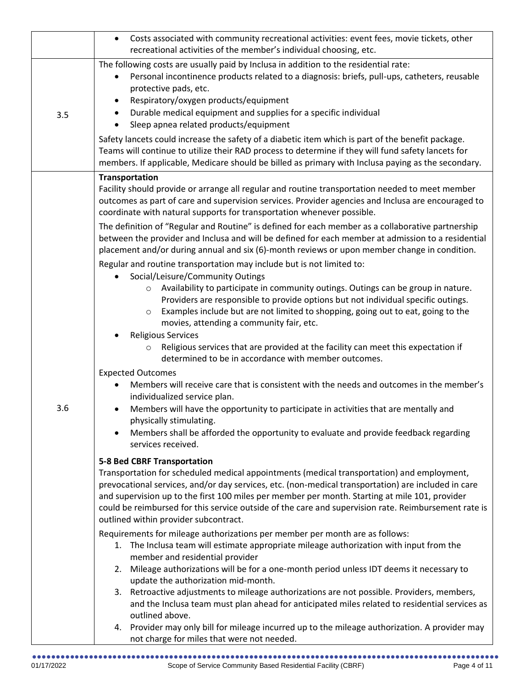|     | Costs associated with community recreational activities: event fees, movie tickets, other<br>recreational activities of the member's individual choosing, etc.                                                                                                                                                                                                                                                                                                                                                                                                                                                                                                                                                                                                                                                                                                                                                                                                                                                                                                                                                                                                                                                                                                                                                                                                                                                                                                                                                                                                                                                                                                                                                                                                                                                                                                                                                                                                                                                                                                                                                                                                                                                                                                                                                                                                                                                                                                                                                                                                                                                                                                                                                                                                                                                                                   |
|-----|--------------------------------------------------------------------------------------------------------------------------------------------------------------------------------------------------------------------------------------------------------------------------------------------------------------------------------------------------------------------------------------------------------------------------------------------------------------------------------------------------------------------------------------------------------------------------------------------------------------------------------------------------------------------------------------------------------------------------------------------------------------------------------------------------------------------------------------------------------------------------------------------------------------------------------------------------------------------------------------------------------------------------------------------------------------------------------------------------------------------------------------------------------------------------------------------------------------------------------------------------------------------------------------------------------------------------------------------------------------------------------------------------------------------------------------------------------------------------------------------------------------------------------------------------------------------------------------------------------------------------------------------------------------------------------------------------------------------------------------------------------------------------------------------------------------------------------------------------------------------------------------------------------------------------------------------------------------------------------------------------------------------------------------------------------------------------------------------------------------------------------------------------------------------------------------------------------------------------------------------------------------------------------------------------------------------------------------------------------------------------------------------------------------------------------------------------------------------------------------------------------------------------------------------------------------------------------------------------------------------------------------------------------------------------------------------------------------------------------------------------------------------------------------------------------------------------------------------------|
| 3.5 | The following costs are usually paid by Inclusa in addition to the residential rate:<br>Personal incontinence products related to a diagnosis: briefs, pull-ups, catheters, reusable<br>$\bullet$<br>protective pads, etc.<br>Respiratory/oxygen products/equipment<br>$\bullet$<br>Durable medical equipment and supplies for a specific individual<br>Sleep apnea related products/equipment<br>$\bullet$<br>Safety lancets could increase the safety of a diabetic item which is part of the benefit package.<br>Teams will continue to utilize their RAD process to determine if they will fund safety lancets for<br>members. If applicable, Medicare should be billed as primary with Inclusa paying as the secondary.                                                                                                                                                                                                                                                                                                                                                                                                                                                                                                                                                                                                                                                                                                                                                                                                                                                                                                                                                                                                                                                                                                                                                                                                                                                                                                                                                                                                                                                                                                                                                                                                                                                                                                                                                                                                                                                                                                                                                                                                                                                                                                                     |
| 3.6 | <b>Transportation</b><br>Facility should provide or arrange all regular and routine transportation needed to meet member<br>outcomes as part of care and supervision services. Provider agencies and Inclusa are encouraged to<br>coordinate with natural supports for transportation whenever possible.<br>The definition of "Regular and Routine" is defined for each member as a collaborative partnership<br>between the provider and Inclusa and will be defined for each member at admission to a residential<br>placement and/or during annual and six (6)-month reviews or upon member change in condition.<br>Regular and routine transportation may include but is not limited to:<br>Social/Leisure/Community Outings<br>Availability to participate in community outings. Outings can be group in nature.<br>Providers are responsible to provide options but not individual specific outings.<br>Examples include but are not limited to shopping, going out to eat, going to the<br>$\circ$<br>movies, attending a community fair, etc.<br><b>Religious Services</b><br>Religious services that are provided at the facility can meet this expectation if<br>determined to be in accordance with member outcomes.<br><b>Expected Outcomes</b><br>Members will receive care that is consistent with the needs and outcomes in the member's<br>individualized service plan.<br>Members will have the opportunity to participate in activities that are mentally and<br>physically stimulating.<br>Members shall be afforded the opportunity to evaluate and provide feedback regarding<br>services received.<br><b>5-8 Bed CBRF Transportation</b><br>Transportation for scheduled medical appointments (medical transportation) and employment,<br>prevocational services, and/or day services, etc. (non-medical transportation) are included in care<br>and supervision up to the first 100 miles per member per month. Starting at mile 101, provider<br>could be reimbursed for this service outside of the care and supervision rate. Reimbursement rate is<br>outlined within provider subcontract.<br>Requirements for mileage authorizations per member per month are as follows:<br>1. The Inclusa team will estimate appropriate mileage authorization with input from the<br>member and residential provider<br>Mileage authorizations will be for a one-month period unless IDT deems it necessary to<br>2.<br>update the authorization mid-month.<br>3. Retroactive adjustments to mileage authorizations are not possible. Providers, members,<br>and the Inclusa team must plan ahead for anticipated miles related to residential services as<br>outlined above.<br>Provider may only bill for mileage incurred up to the mileage authorization. A provider may<br>4.<br>not charge for miles that were not needed. |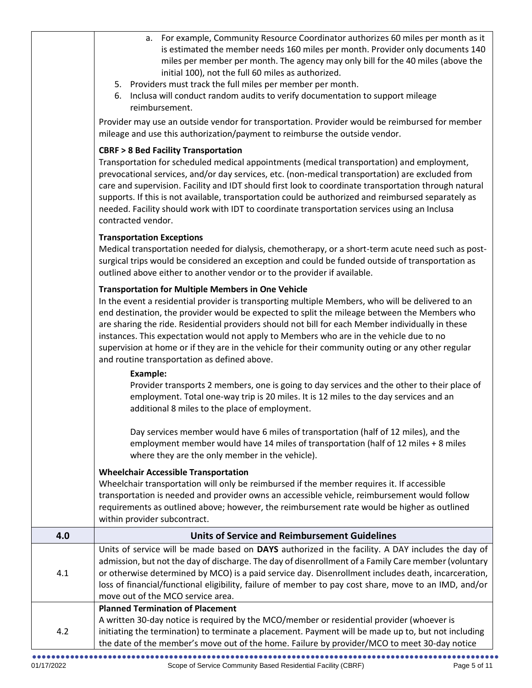|     | a. For example, Community Resource Coordinator authorizes 60 miles per month as it<br>is estimated the member needs 160 miles per month. Provider only documents 140<br>miles per member per month. The agency may only bill for the 40 miles (above the<br>initial 100), not the full 60 miles as authorized.<br>5. Providers must track the full miles per member per month.<br>6. Inclusa will conduct random audits to verify documentation to support mileage<br>reimbursement.<br>Provider may use an outside vendor for transportation. Provider would be reimbursed for member<br>mileage and use this authorization/payment to reimburse the outside vendor.<br><b>CBRF &gt; 8 Bed Facility Transportation</b><br>Transportation for scheduled medical appointments (medical transportation) and employment,<br>prevocational services, and/or day services, etc. (non-medical transportation) are excluded from<br>care and supervision. Facility and IDT should first look to coordinate transportation through natural<br>supports. If this is not available, transportation could be authorized and reimbursed separately as<br>needed. Facility should work with IDT to coordinate transportation services using an Inclusa<br>contracted vendor.<br><b>Transportation Exceptions</b><br>Medical transportation needed for dialysis, chemotherapy, or a short-term acute need such as post-<br>surgical trips would be considered an exception and could be funded outside of transportation as<br>outlined above either to another vendor or to the provider if available.<br><b>Transportation for Multiple Members in One Vehicle</b><br>In the event a residential provider is transporting multiple Members, who will be delivered to an |
|-----|-------------------------------------------------------------------------------------------------------------------------------------------------------------------------------------------------------------------------------------------------------------------------------------------------------------------------------------------------------------------------------------------------------------------------------------------------------------------------------------------------------------------------------------------------------------------------------------------------------------------------------------------------------------------------------------------------------------------------------------------------------------------------------------------------------------------------------------------------------------------------------------------------------------------------------------------------------------------------------------------------------------------------------------------------------------------------------------------------------------------------------------------------------------------------------------------------------------------------------------------------------------------------------------------------------------------------------------------------------------------------------------------------------------------------------------------------------------------------------------------------------------------------------------------------------------------------------------------------------------------------------------------------------------------------------------------------------------------------------------------------------------|
|     | end destination, the provider would be expected to split the mileage between the Members who<br>are sharing the ride. Residential providers should not bill for each Member individually in these<br>instances. This expectation would not apply to Members who are in the vehicle due to no<br>supervision at home or if they are in the vehicle for their community outing or any other regular<br>and routine transportation as defined above.                                                                                                                                                                                                                                                                                                                                                                                                                                                                                                                                                                                                                                                                                                                                                                                                                                                                                                                                                                                                                                                                                                                                                                                                                                                                                                           |
|     | <b>Example:</b><br>Provider transports 2 members, one is going to day services and the other to their place of<br>employment. Total one-way trip is 20 miles. It is 12 miles to the day services and an<br>additional 8 miles to the place of employment.                                                                                                                                                                                                                                                                                                                                                                                                                                                                                                                                                                                                                                                                                                                                                                                                                                                                                                                                                                                                                                                                                                                                                                                                                                                                                                                                                                                                                                                                                                   |
|     | Day services member would have 6 miles of transportation (half of 12 miles), and the<br>employment member would have 14 miles of transportation (half of 12 miles + 8 miles<br>where they are the only member in the vehicle).                                                                                                                                                                                                                                                                                                                                                                                                                                                                                                                                                                                                                                                                                                                                                                                                                                                                                                                                                                                                                                                                                                                                                                                                                                                                                                                                                                                                                                                                                                                              |
|     | <b>Wheelchair Accessible Transportation</b><br>Wheelchair transportation will only be reimbursed if the member requires it. If accessible<br>transportation is needed and provider owns an accessible vehicle, reimbursement would follow<br>requirements as outlined above; however, the reimbursement rate would be higher as outlined<br>within provider subcontract.                                                                                                                                                                                                                                                                                                                                                                                                                                                                                                                                                                                                                                                                                                                                                                                                                                                                                                                                                                                                                                                                                                                                                                                                                                                                                                                                                                                    |
| 4.0 | <b>Units of Service and Reimbursement Guidelines</b>                                                                                                                                                                                                                                                                                                                                                                                                                                                                                                                                                                                                                                                                                                                                                                                                                                                                                                                                                                                                                                                                                                                                                                                                                                                                                                                                                                                                                                                                                                                                                                                                                                                                                                        |
| 4.1 | Units of service will be made based on DAYS authorized in the facility. A DAY includes the day of<br>admission, but not the day of discharge. The day of disenrollment of a Family Care member (voluntary<br>or otherwise determined by MCO) is a paid service day. Disenrollment includes death, incarceration,<br>loss of financial/functional eligibility, failure of member to pay cost share, move to an IMD, and/or<br>move out of the MCO service area.                                                                                                                                                                                                                                                                                                                                                                                                                                                                                                                                                                                                                                                                                                                                                                                                                                                                                                                                                                                                                                                                                                                                                                                                                                                                                              |
|     | <b>Planned Termination of Placement</b>                                                                                                                                                                                                                                                                                                                                                                                                                                                                                                                                                                                                                                                                                                                                                                                                                                                                                                                                                                                                                                                                                                                                                                                                                                                                                                                                                                                                                                                                                                                                                                                                                                                                                                                     |
| 4.2 | A written 30-day notice is required by the MCO/member or residential provider (whoever is<br>initiating the termination) to terminate a placement. Payment will be made up to, but not including<br>the date of the member's move out of the home. Failure by provider/MCO to meet 30-day notice                                                                                                                                                                                                                                                                                                                                                                                                                                                                                                                                                                                                                                                                                                                                                                                                                                                                                                                                                                                                                                                                                                                                                                                                                                                                                                                                                                                                                                                            |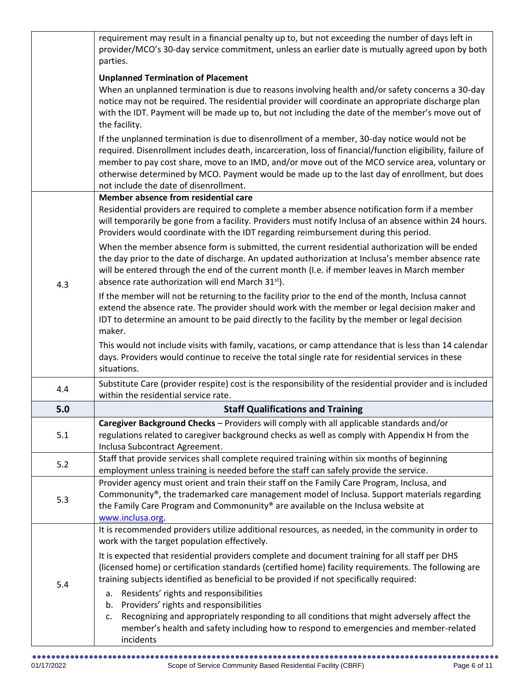|     | requirement may result in a financial penalty up to, but not exceeding the number of days left in<br>provider/MCO's 30-day service commitment, unless an earlier date is mutually agreed upon by both<br>parties.                                                                                                                                                                                                                                       |
|-----|---------------------------------------------------------------------------------------------------------------------------------------------------------------------------------------------------------------------------------------------------------------------------------------------------------------------------------------------------------------------------------------------------------------------------------------------------------|
|     | <b>Unplanned Termination of Placement</b>                                                                                                                                                                                                                                                                                                                                                                                                               |
|     | When an unplanned termination is due to reasons involving health and/or safety concerns a 30-day<br>notice may not be required. The residential provider will coordinate an appropriate discharge plan<br>with the IDT. Payment will be made up to, but not including the date of the member's move out of<br>the facility.                                                                                                                             |
|     | If the unplanned termination is due to disenrollment of a member, 30-day notice would not be<br>required. Disenrollment includes death, incarceration, loss of financial/function eligibility, failure of<br>member to pay cost share, move to an IMD, and/or move out of the MCO service area, voluntary or<br>otherwise determined by MCO. Payment would be made up to the last day of enrollment, but does<br>not include the date of disenrollment. |
|     | Member absence from residential care                                                                                                                                                                                                                                                                                                                                                                                                                    |
|     | Residential providers are required to complete a member absence notification form if a member<br>will temporarily be gone from a facility. Providers must notify Inclusa of an absence within 24 hours.<br>Providers would coordinate with the IDT regarding reimbursement during this period.                                                                                                                                                          |
| 4.3 | When the member absence form is submitted, the current residential authorization will be ended<br>the day prior to the date of discharge. An updated authorization at Inclusa's member absence rate<br>will be entered through the end of the current month (I.e. if member leaves in March member<br>absence rate authorization will end March 31 <sup>st</sup> ).                                                                                     |
|     | If the member will not be returning to the facility prior to the end of the month, Inclusa cannot<br>extend the absence rate. The provider should work with the member or legal decision maker and<br>IDT to determine an amount to be paid directly to the facility by the member or legal decision<br>maker.                                                                                                                                          |
|     | This would not include visits with family, vacations, or camp attendance that is less than 14 calendar<br>days. Providers would continue to receive the total single rate for residential services in these<br>situations.                                                                                                                                                                                                                              |
| 4.4 | Substitute Care (provider respite) cost is the responsibility of the residential provider and is included<br>within the residential service rate.                                                                                                                                                                                                                                                                                                       |
| 5.0 | <b>Staff Qualifications and Training</b>                                                                                                                                                                                                                                                                                                                                                                                                                |
| 5.1 | Caregiver Background Checks - Providers will comply with all applicable standards and/or<br>regulations related to caregiver background checks as well as comply with Appendix H from the<br>Inclusa Subcontract Agreement.                                                                                                                                                                                                                             |
| 5.2 | Staff that provide services shall complete required training within six months of beginning<br>employment unless training is needed before the staff can safely provide the service.                                                                                                                                                                                                                                                                    |
| 5.3 | Provider agency must orient and train their staff on the Family Care Program, Inclusa, and<br>Commonunity®, the trademarked care management model of Inclusa. Support materials regarding<br>the Family Care Program and Commonunity® are available on the Inclusa website at<br>www.inclusa.org.                                                                                                                                                       |
| 5.4 | It is recommended providers utilize additional resources, as needed, in the community in order to<br>work with the target population effectively.                                                                                                                                                                                                                                                                                                       |
|     | It is expected that residential providers complete and document training for all staff per DHS<br>(licensed home) or certification standards (certified home) facility requirements. The following are<br>training subjects identified as beneficial to be provided if not specifically required:                                                                                                                                                       |
|     | Residents' rights and responsibilities<br>а.<br>Providers' rights and responsibilities<br>b.<br>Recognizing and appropriately responding to all conditions that might adversely affect the<br>c.<br>member's health and safety including how to respond to emergencies and member-related<br>incidents                                                                                                                                                  |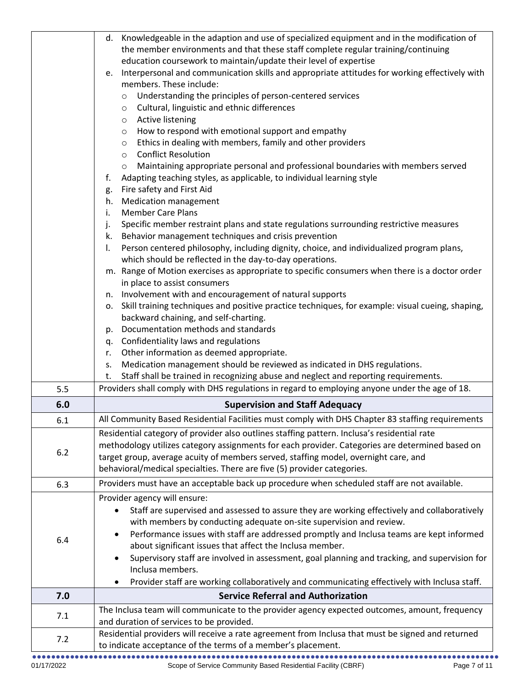|     | d. Knowledgeable in the adaption and use of specialized equipment and in the modification of                                                                      |
|-----|-------------------------------------------------------------------------------------------------------------------------------------------------------------------|
|     | the member environments and that these staff complete regular training/continuing                                                                                 |
|     | education coursework to maintain/update their level of expertise                                                                                                  |
|     | Interpersonal and communication skills and appropriate attitudes for working effectively with<br>e.                                                               |
|     | members. These include:                                                                                                                                           |
|     | Understanding the principles of person-centered services<br>$\circ$                                                                                               |
|     | Cultural, linguistic and ethnic differences<br>$\circ$                                                                                                            |
|     | Active listening<br>$\circ$                                                                                                                                       |
|     | How to respond with emotional support and empathy<br>$\circ$                                                                                                      |
|     | Ethics in dealing with members, family and other providers<br>$\circ$                                                                                             |
|     | <b>Conflict Resolution</b><br>$\circ$                                                                                                                             |
|     | Maintaining appropriate personal and professional boundaries with members served<br>$\circ$                                                                       |
|     | Adapting teaching styles, as applicable, to individual learning style<br>f.                                                                                       |
|     | Fire safety and First Aid<br>g.                                                                                                                                   |
|     | h. Medication management                                                                                                                                          |
|     | <b>Member Care Plans</b><br>i.                                                                                                                                    |
|     | Specific member restraint plans and state regulations surrounding restrictive measures<br>j.                                                                      |
|     | Behavior management techniques and crisis prevention<br>k.                                                                                                        |
|     | Person centered philosophy, including dignity, choice, and individualized program plans,<br>I.<br>which should be reflected in the day-to-day operations.         |
|     | m. Range of Motion exercises as appropriate to specific consumers when there is a doctor order                                                                    |
|     | in place to assist consumers                                                                                                                                      |
|     | n. Involvement with and encouragement of natural supports                                                                                                         |
|     | o. Skill training techniques and positive practice techniques, for example: visual cueing, shaping,                                                               |
|     | backward chaining, and self-charting.                                                                                                                             |
|     | Documentation methods and standards<br>p.                                                                                                                         |
|     |                                                                                                                                                                   |
|     | q. Confidentiality laws and regulations                                                                                                                           |
|     | Other information as deemed appropriate.<br>r.                                                                                                                    |
|     | Medication management should be reviewed as indicated in DHS regulations.<br>S.                                                                                   |
|     | Staff shall be trained in recognizing abuse and neglect and reporting requirements.<br>t.                                                                         |
| 5.5 | Providers shall comply with DHS regulations in regard to employing anyone under the age of 18.                                                                    |
| 6.0 | <b>Supervision and Staff Adequacy</b>                                                                                                                             |
| 6.1 | All Community Based Residential Facilities must comply with DHS Chapter 83 staffing requirements                                                                  |
|     | Residential category of provider also outlines staffing pattern. Inclusa's residential rate                                                                       |
|     | methodology utilizes category assignments for each provider. Categories are determined based on                                                                   |
| 6.2 | target group, average acuity of members served, staffing model, overnight care, and                                                                               |
|     | behavioral/medical specialties. There are five (5) provider categories.                                                                                           |
| 6.3 | Providers must have an acceptable back up procedure when scheduled staff are not available.                                                                       |
|     | Provider agency will ensure:                                                                                                                                      |
|     | Staff are supervised and assessed to assure they are working effectively and collaboratively                                                                      |
|     | with members by conducting adequate on-site supervision and review.                                                                                               |
|     | Performance issues with staff are addressed promptly and Inclusa teams are kept informed                                                                          |
| 6.4 | about significant issues that affect the Inclusa member.                                                                                                          |
|     | Supervisory staff are involved in assessment, goal planning and tracking, and supervision for                                                                     |
|     | Inclusa members.                                                                                                                                                  |
|     | Provider staff are working collaboratively and communicating effectively with Inclusa staff.                                                                      |
| 7.0 | <b>Service Referral and Authorization</b>                                                                                                                         |
|     | The Inclusa team will communicate to the provider agency expected outcomes, amount, frequency                                                                     |
| 7.1 | and duration of services to be provided.                                                                                                                          |
| 7.2 | Residential providers will receive a rate agreement from Inclusa that must be signed and returned<br>to indicate acceptance of the terms of a member's placement. |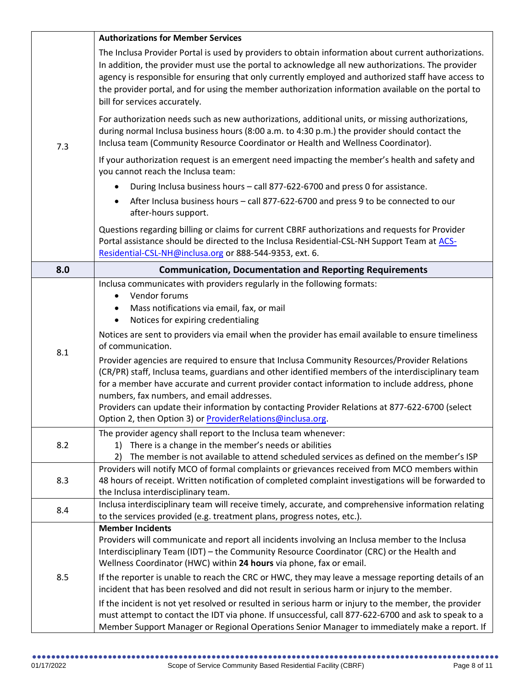| <b>Authorizations for Member Services</b>                                                                                                                                                                                                                                                                                                                                                                                                                                                                                                                                                                                                                                                                                                                                                                            |
|----------------------------------------------------------------------------------------------------------------------------------------------------------------------------------------------------------------------------------------------------------------------------------------------------------------------------------------------------------------------------------------------------------------------------------------------------------------------------------------------------------------------------------------------------------------------------------------------------------------------------------------------------------------------------------------------------------------------------------------------------------------------------------------------------------------------|
| The Inclusa Provider Portal is used by providers to obtain information about current authorizations.<br>In addition, the provider must use the portal to acknowledge all new authorizations. The provider<br>agency is responsible for ensuring that only currently employed and authorized staff have access to<br>the provider portal, and for using the member authorization information available on the portal to<br>bill for services accurately.                                                                                                                                                                                                                                                                                                                                                              |
| For authorization needs such as new authorizations, additional units, or missing authorizations,<br>during normal Inclusa business hours (8:00 a.m. to 4:30 p.m.) the provider should contact the<br>Inclusa team (Community Resource Coordinator or Health and Wellness Coordinator).                                                                                                                                                                                                                                                                                                                                                                                                                                                                                                                               |
| If your authorization request is an emergent need impacting the member's health and safety and<br>you cannot reach the Inclusa team:                                                                                                                                                                                                                                                                                                                                                                                                                                                                                                                                                                                                                                                                                 |
| During Inclusa business hours - call 877-622-6700 and press 0 for assistance.                                                                                                                                                                                                                                                                                                                                                                                                                                                                                                                                                                                                                                                                                                                                        |
| After Inclusa business hours - call 877-622-6700 and press 9 to be connected to our<br>after-hours support.                                                                                                                                                                                                                                                                                                                                                                                                                                                                                                                                                                                                                                                                                                          |
| Questions regarding billing or claims for current CBRF authorizations and requests for Provider<br>Portal assistance should be directed to the Inclusa Residential-CSL-NH Support Team at ACS-<br>Residential-CSL-NH@inclusa.org or 888-544-9353, ext. 6.                                                                                                                                                                                                                                                                                                                                                                                                                                                                                                                                                            |
| <b>Communication, Documentation and Reporting Requirements</b>                                                                                                                                                                                                                                                                                                                                                                                                                                                                                                                                                                                                                                                                                                                                                       |
| Inclusa communicates with providers regularly in the following formats:<br>Vendor forums<br>Mass notifications via email, fax, or mail<br>Notices for expiring credentialing<br>$\bullet$<br>Notices are sent to providers via email when the provider has email available to ensure timeliness<br>of communication.<br>Provider agencies are required to ensure that Inclusa Community Resources/Provider Relations<br>(CR/PR) staff, Inclusa teams, guardians and other identified members of the interdisciplinary team<br>for a member have accurate and current provider contact information to include address, phone<br>numbers, fax numbers, and email addresses.                                                                                                                                            |
| Providers can update their information by contacting Provider Relations at 877-622-6700 (select<br>Option 2, then Option 3) or <b>ProviderRelations@inclusa.org</b> .                                                                                                                                                                                                                                                                                                                                                                                                                                                                                                                                                                                                                                                |
| The provider agency shall report to the Inclusa team whenever:<br>1) There is a change in the member's needs or abilities<br>The member is not available to attend scheduled services as defined on the member's ISP                                                                                                                                                                                                                                                                                                                                                                                                                                                                                                                                                                                                 |
| Providers will notify MCO of formal complaints or grievances received from MCO members within<br>48 hours of receipt. Written notification of completed complaint investigations will be forwarded to<br>the Inclusa interdisciplinary team.                                                                                                                                                                                                                                                                                                                                                                                                                                                                                                                                                                         |
| Inclusa interdisciplinary team will receive timely, accurate, and comprehensive information relating<br>to the services provided (e.g. treatment plans, progress notes, etc.).                                                                                                                                                                                                                                                                                                                                                                                                                                                                                                                                                                                                                                       |
| <b>Member Incidents</b><br>Providers will communicate and report all incidents involving an Inclusa member to the Inclusa<br>Interdisciplinary Team (IDT) - the Community Resource Coordinator (CRC) or the Health and<br>Wellness Coordinator (HWC) within 24 hours via phone, fax or email.<br>If the reporter is unable to reach the CRC or HWC, they may leave a message reporting details of an<br>incident that has been resolved and did not result in serious harm or injury to the member.<br>If the incident is not yet resolved or resulted in serious harm or injury to the member, the provider<br>must attempt to contact the IDT via phone. If unsuccessful, call 877-622-6700 and ask to speak to a<br>Member Support Manager or Regional Operations Senior Manager to immediately make a report. If |
|                                                                                                                                                                                                                                                                                                                                                                                                                                                                                                                                                                                                                                                                                                                                                                                                                      |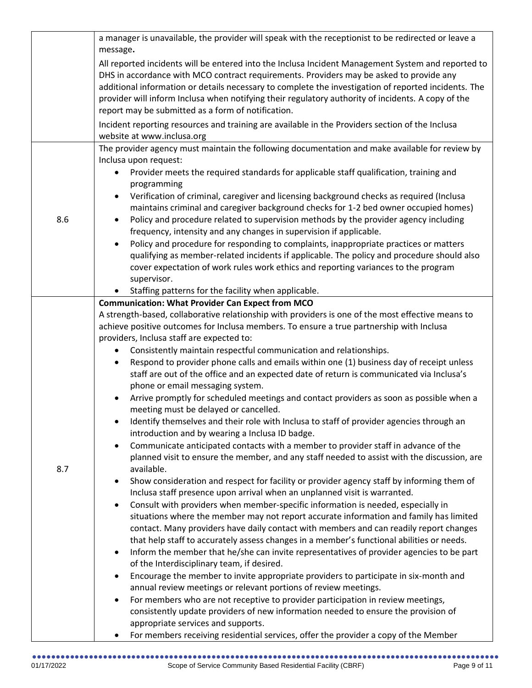|     | a manager is unavailable, the provider will speak with the receptionist to be redirected or leave a<br>message.                                                                                                                                                                                                                                                                                                                                                   |
|-----|-------------------------------------------------------------------------------------------------------------------------------------------------------------------------------------------------------------------------------------------------------------------------------------------------------------------------------------------------------------------------------------------------------------------------------------------------------------------|
|     | All reported incidents will be entered into the Inclusa Incident Management System and reported to<br>DHS in accordance with MCO contract requirements. Providers may be asked to provide any<br>additional information or details necessary to complete the investigation of reported incidents. The<br>provider will inform Inclusa when notifying their regulatory authority of incidents. A copy of the<br>report may be submitted as a form of notification. |
|     | Incident reporting resources and training are available in the Providers section of the Inclusa                                                                                                                                                                                                                                                                                                                                                                   |
|     | website at www.inclusa.org                                                                                                                                                                                                                                                                                                                                                                                                                                        |
|     | The provider agency must maintain the following documentation and make available for review by<br>Inclusa upon request:<br>Provider meets the required standards for applicable staff qualification, training and<br>programming                                                                                                                                                                                                                                  |
|     | Verification of criminal, caregiver and licensing background checks as required (Inclusa<br>maintains criminal and caregiver background checks for 1-2 bed owner occupied homes)<br>Policy and procedure related to supervision methods by the provider agency including                                                                                                                                                                                          |
| 8.6 | frequency, intensity and any changes in supervision if applicable.                                                                                                                                                                                                                                                                                                                                                                                                |
|     | Policy and procedure for responding to complaints, inappropriate practices or matters<br>qualifying as member-related incidents if applicable. The policy and procedure should also<br>cover expectation of work rules work ethics and reporting variances to the program<br>supervisor.                                                                                                                                                                          |
|     | Staffing patterns for the facility when applicable.<br><b>Communication: What Provider Can Expect from MCO</b>                                                                                                                                                                                                                                                                                                                                                    |
|     | A strength-based, collaborative relationship with providers is one of the most effective means to<br>achieve positive outcomes for Inclusa members. To ensure a true partnership with Inclusa<br>providers, Inclusa staff are expected to:<br>Consistently maintain respectful communication and relationships.                                                                                                                                                   |
|     | Respond to provider phone calls and emails within one (1) business day of receipt unless<br>$\bullet$<br>staff are out of the office and an expected date of return is communicated via Inclusa's<br>phone or email messaging system.                                                                                                                                                                                                                             |
|     | Arrive promptly for scheduled meetings and contact providers as soon as possible when a<br>meeting must be delayed or cancelled.                                                                                                                                                                                                                                                                                                                                  |
|     | Identify themselves and their role with Inclusa to staff of provider agencies through an<br>introduction and by wearing a Inclusa ID badge.                                                                                                                                                                                                                                                                                                                       |
| 8.7 | Communicate anticipated contacts with a member to provider staff in advance of the<br>$\bullet$<br>planned visit to ensure the member, and any staff needed to assist with the discussion, are<br>available.                                                                                                                                                                                                                                                      |
|     | Show consideration and respect for facility or provider agency staff by informing them of<br>$\bullet$<br>Inclusa staff presence upon arrival when an unplanned visit is warranted.                                                                                                                                                                                                                                                                               |
|     | Consult with providers when member-specific information is needed, especially in<br>$\bullet$<br>situations where the member may not report accurate information and family has limited<br>contact. Many providers have daily contact with members and can readily report changes<br>that help staff to accurately assess changes in a member's functional abilities or needs.                                                                                    |
|     | Inform the member that he/she can invite representatives of provider agencies to be part<br>$\bullet$<br>of the Interdisciplinary team, if desired.                                                                                                                                                                                                                                                                                                               |
|     | Encourage the member to invite appropriate providers to participate in six-month and<br>$\bullet$<br>annual review meetings or relevant portions of review meetings.                                                                                                                                                                                                                                                                                              |
|     | For members who are not receptive to provider participation in review meetings,<br>٠<br>consistently update providers of new information needed to ensure the provision of                                                                                                                                                                                                                                                                                        |
|     | appropriate services and supports.<br>For members receiving residential services, offer the provider a copy of the Member                                                                                                                                                                                                                                                                                                                                         |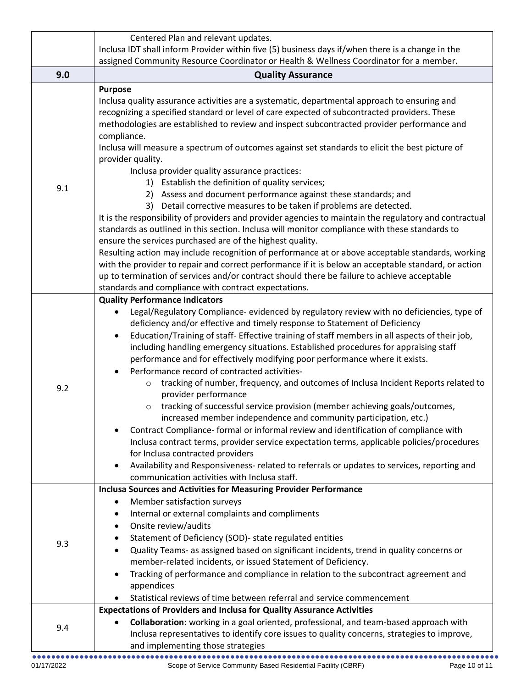|     | Centered Plan and relevant updates.                                                                                                                                                                                                                                                                                                                                                                                                                                                                                                                                                                                                                                                                                                                                                                                                                                                                                                                                                                                                                                                                                                                                                                                                                                                                                                      |
|-----|------------------------------------------------------------------------------------------------------------------------------------------------------------------------------------------------------------------------------------------------------------------------------------------------------------------------------------------------------------------------------------------------------------------------------------------------------------------------------------------------------------------------------------------------------------------------------------------------------------------------------------------------------------------------------------------------------------------------------------------------------------------------------------------------------------------------------------------------------------------------------------------------------------------------------------------------------------------------------------------------------------------------------------------------------------------------------------------------------------------------------------------------------------------------------------------------------------------------------------------------------------------------------------------------------------------------------------------|
|     | Inclusa IDT shall inform Provider within five (5) business days if/when there is a change in the                                                                                                                                                                                                                                                                                                                                                                                                                                                                                                                                                                                                                                                                                                                                                                                                                                                                                                                                                                                                                                                                                                                                                                                                                                         |
|     | assigned Community Resource Coordinator or Health & Wellness Coordinator for a member.                                                                                                                                                                                                                                                                                                                                                                                                                                                                                                                                                                                                                                                                                                                                                                                                                                                                                                                                                                                                                                                                                                                                                                                                                                                   |
| 9.0 | <b>Quality Assurance</b>                                                                                                                                                                                                                                                                                                                                                                                                                                                                                                                                                                                                                                                                                                                                                                                                                                                                                                                                                                                                                                                                                                                                                                                                                                                                                                                 |
| 9.1 | Purpose<br>Inclusa quality assurance activities are a systematic, departmental approach to ensuring and<br>recognizing a specified standard or level of care expected of subcontracted providers. These<br>methodologies are established to review and inspect subcontracted provider performance and<br>compliance.<br>Inclusa will measure a spectrum of outcomes against set standards to elicit the best picture of<br>provider quality.<br>Inclusa provider quality assurance practices:<br>1) Establish the definition of quality services;<br>2) Assess and document performance against these standards; and<br>3) Detail corrective measures to be taken if problems are detected.<br>It is the responsibility of providers and provider agencies to maintain the regulatory and contractual<br>standards as outlined in this section. Inclusa will monitor compliance with these standards to<br>ensure the services purchased are of the highest quality.<br>Resulting action may include recognition of performance at or above acceptable standards, working<br>with the provider to repair and correct performance if it is below an acceptable standard, or action<br>up to termination of services and/or contract should there be failure to achieve acceptable<br>standards and compliance with contract expectations. |
| 9.2 | <b>Quality Performance Indicators</b><br>Legal/Regulatory Compliance- evidenced by regulatory review with no deficiencies, type of<br>$\bullet$<br>deficiency and/or effective and timely response to Statement of Deficiency<br>Education/Training of staff- Effective training of staff members in all aspects of their job,<br>$\bullet$<br>including handling emergency situations. Established procedures for appraising staff<br>performance and for effectively modifying poor performance where it exists.<br>Performance record of contracted activities-<br>$\bullet$<br>tracking of number, frequency, and outcomes of Inclusa Incident Reports related to<br>$\circ$<br>provider performance<br>tracking of successful service provision (member achieving goals/outcomes,<br>$\circ$<br>increased member independence and community participation, etc.)<br>Contract Compliance- formal or informal review and identification of compliance with<br>$\bullet$<br>Inclusa contract terms, provider service expectation terms, applicable policies/procedures<br>for Inclusa contracted providers<br>Availability and Responsiveness- related to referrals or updates to services, reporting and<br>$\bullet$<br>communication activities with Inclusa staff.                                                                 |
| 9.3 | <b>Inclusa Sources and Activities for Measuring Provider Performance</b><br>Member satisfaction surveys<br>$\bullet$<br>Internal or external complaints and compliments<br>٠<br>Onsite review/audits<br>٠<br>Statement of Deficiency (SOD)- state regulated entities<br>٠<br>Quality Teams- as assigned based on significant incidents, trend in quality concerns or<br>٠<br>member-related incidents, or issued Statement of Deficiency.<br>Tracking of performance and compliance in relation to the subcontract agreement and<br>٠<br>appendices<br>Statistical reviews of time between referral and service commencement                                                                                                                                                                                                                                                                                                                                                                                                                                                                                                                                                                                                                                                                                                             |
| 9.4 | <b>Expectations of Providers and Inclusa for Quality Assurance Activities</b><br>Collaboration: working in a goal oriented, professional, and team-based approach with<br>Inclusa representatives to identify core issues to quality concerns, strategies to improve,<br>and implementing those strategies                                                                                                                                                                                                                                                                                                                                                                                                                                                                                                                                                                                                                                                                                                                                                                                                                                                                                                                                                                                                                               |